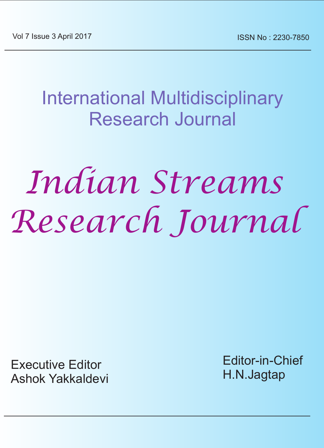International Multidisciplinary Research Journal

# *Indian Streams Research Journal*

Executive Editor Ashok Yakkaldevi Editor-in-Chief H.N.Jagtap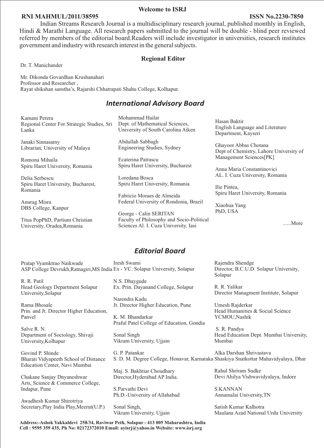#### **Welcome to ISRJ**

#### **RNI MAHMUL/2011/38595**

Indian Streams Research Journal is a multidisciplinary research journal, published monthly in English, Hindi & Marathi Language. All research papers submitted to the journal will be double - blind peer reviewed referred by members of the editorial board.Readers will include investigator in universities, research institutes government and industry with research interest in the general subjects.

#### **Regional Editor**

Dr. T. Manichander

Mr. Dikonda Govardhan Krushanahari Professor and Researcher , Rayat shikshan sanstha's, Rajarshi Chhatrapati Shahu College, Kolhapur.

#### *International Advisory Board*

Kamani Perera Regional Center For Strategic Studies, Sri Lanka

Janaki Sinnasamy Librarian, University of Malaya

Romona Mihaila Spiru Haret University, Romania

Delia Serbescu Spiru Haret University, Bucharest, Romania

Anurag Misra DBS College, Kanpur

Titus PopPhD, Partium Christian University, Oradea,Romania

Mohammad Hailat Dept. of Mathematical Sciences, University of South Carolina Aiken

Abdullah Sabbagh Engineering Studies, Sydney

Ecaterina Patrascu Spiru Haret University, Bucharest

Loredana Bosca Spiru Haret University, Romania

Fabricio Moraes de Almeida Federal University of Rondonia, Brazil

George - Calin SERITAN Faculty of Philosophy and Socio-Political Sciences Al. I. Cuza University, Iasi

Hasan Baktir English Language and Literature Department, Kayseri

Ghayoor Abbas Chotana Dept of Chemistry, Lahore University of Management Sciences[PK]

Anna Maria Constantinovici AL. I. Cuza University, Romania

Ilie Pintea, Spiru Haret University, Romania

Xiaohua Yang PhD, USA

......More

#### *Editorial Board*

Pratap Vyamktrao Naikwade ASP College Devrukh,Ratnagiri,MS India Ex - VC. Solapur University, Solapur Iresh Swami

R. R. Patil Head Geology Department Solapur University,Solapur

Rama Bhosale Prin. and Jt. Director Higher Education, Panvel

Salve R. N. Department of Sociology, Shivaji University,Kolhapur

Govind P. Shinde Bharati Vidyapeeth School of Distance Education Center, Navi Mumbai

Chakane Sanjay Dnyaneshwar Arts, Science & Commerce College, Indapur, Pune

Awadhesh Kumar Shirotriya Secretary,Play India Play,Meerut(U.P.) N.S. Dhaygude Ex. Prin. Dayanand College, Solapur

Narendra Kadu Jt. Director Higher Education, Pune

K. M. Bhandarkar Praful Patel College of Education, Gondia

Sonal Singh Vikram University, Ujjain

G. P. Patankar S. D. M. Degree College, Honavar, Karnataka Shaskiya Snatkottar Mahavidyalaya, Dhar Alka Darshan Shrivastava

Maj. S. Bakhtiar Choudhary Director,Hyderabad AP India.

S.Parvathi Devi Ph.D.-University of Allahabad

Sonal Singh, Vikram University, Ujjain

**Address:-Ashok Yakkaldevi 258/34, Raviwar Peth, Solapur - 413 005 Maharashtra, India Cell : 9595 359 435, Ph No: 02172372010 Email: ayisrj@yahoo.in Website: www.isrj.org**

Rajendra Shendge Director, B.C.U.D. Solapur University, Solapur

R. R. Yalikar Director Managment Institute, Solapur

Umesh Rajderkar Head Humanities & Social Science YCMOU,Nashik

 S. R. Pandya Head Education Dept. Mumbai University, Mumbai

Rahul Shriram Sudke Devi Ahilya Vishwavidyalaya, Indore

S.KANNAN Annamalai University,TN

Satish Kumar Kalhotra Maulana Azad National Urdu University

#### **ISSN No.2230-7850**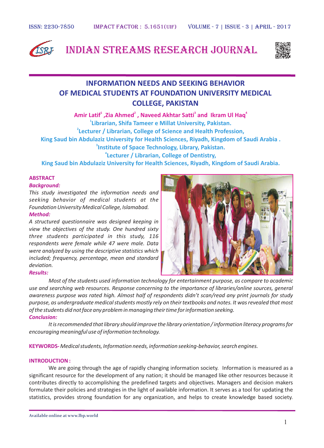

## Indian Streams Research Journal



## **INFORMATION NEEDS AND SEEKING BEHAVIOR OF MEDICAL STUDENTS AT FOUNDATION UNIVERSITY MEDICAL COLLEGE, PAKISTAN**

 **2 3 4 Amir Latif ,Zia Ahmed , Naveed Akhtar Satti and Ikram Ul Haq Librarian, Shifa Tameer e Millat University, Pakistan. Lecturer / Librarian, College of Science and Health Profession, King Saud bin Abdulaziz University for Health Sciences, Riyadh, Kingdom of Saudi Arabia . Institute of Space Technology, Library, Pakistan. Lecturer / Librarian, College of Dentistry,** 

**King Saud bin Abdulaziz University for Health Sciences, Riyadh, Kingdom of Saudi Arabia.**

#### **ABSTRACT**

#### *Background:*

*Method: This study investigated the information needs and seeking behavior of medical students at the Foundation University Medical College, Islamabad.* 

## *A structured questionnaire was designed keeping in*

*view the objectives of the study. One hundred sixty three students participated in this study, 116 respondents were female while 47 were male. Data were analyzed by using the descriptive statistics which included; frequency, percentage, mean and standard deviation.* 



*Most of the students used information technology for entertainment purpose, as compare to academic use and searching web resources. Response concerning to the importance of libraries/online sources, general awareness purpose was rated high. Almost half of respondents didn't scan/read any print journals for study purpose, as undergraduate medical students mostly rely on their textbooks and notes. It was revealed that most of the students did not face any problem in managing their time for information seeking.* 

#### *Conclusion:*

*It is recommended that library should improve the library orientation / information literacy programs for encouraging meaningful use of information technology.*

*Medical students, Information needs, information seeking-behavior, search engines.* **KEYWORDS-**

#### **INTRODUCTION :**

We are going through the age of rapidly changing information society. Information is measured as a significant resource for the development of any nation; it should be managed like other resources because it contributes directly to accomplishing the predefined targets and objectives. Managers and decision makers formulate their policies and strategies in the light of available information. It serves as a tool for updating the statistics, provides strong foundation for any organization, and helps to create knowledge based society.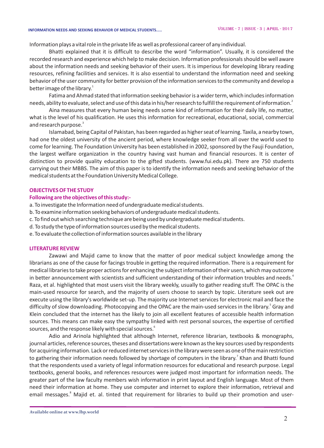#### **INFORMATION NEEDS AND SEEKING BEHAVIOR OF MEDICAL STUDENTS.....**

Information plays a vital role in the private life as well as professional career of any individual.

Bhatti explained that it is difficult to describe the word "information". Usually, it is considered the recorded research and experience which help to make decision. Information professionals should be well aware about the information needs and seeking behavior of their users. It is imperious for developing library reading resources, refining facilities and services. It is also essential to understand the information need and seeking behavior of the user community for better provision of the information services to the community and develop a better image of the library.<sup>1</sup>

Fatima and Ahmad stated that information seeking behavior is a wider term, which includes information needs, ability to evaluate, select and use of this data in his/her research to fulfill the requirement of information. $^2$ 

Aina measures that every human being needs some kind of information for their daily life, no matter, what is the level of his qualification. He uses this information for recreational, educational, social, commercial and research purpose.<sup>3</sup>

Islamabad, being Capital of Pakistan, has been regarded as higher seat of learning. Taxila, a nearby town, had one the oldest university of the ancient period, where knowledge seeker from all over the world used to come for learning. The Foundation University has been established in 2002, sponsored by the Fauji Foundation, the largest welfare organization in the country having vast human and financial resources. It is center of distinction to provide quality education to the gifted students. (www.fui.edu.pk). There are 750 students carrying out their MBBS. The aim of this paper is to identify the information needs and seeking behavior of the medical students at the Foundation University Medical College.

#### **OBJECTIVES OF THE STUDY**

#### **Following are the objectives of this study:-**

- a. To investigate the Information need of undergraduate medical students.
- b. To examine information seeking behaviors of undergraduate medical students.
- c. To find out which searching technique are being used by undergraduate medical students.
- d. To study the type of information sources used by the medical students.
- e. To evaluate the collection of information sources available in the library

#### **LITERATURE REVIEW**

Zawawi and Majid came to know that the matter of poor medical subject knowledge among the librarians as one of the cause for facings trouble in getting the required information. There is a requirement for medical libraries to take proper actions for enhancing the subject information of their users, which may outcome in better announcement with scientists and sufficient understanding of their information troubles and needs.<sup>4</sup> Raza, et al. highlighted that most users visit the library weekly, usually to gather reading stuff. The OPAC is the main-used resource for search, and the majority of users choose to search by topic. Literature seek out are execute using the library's worldwide set-up. The majority use Internet services for electronic mail and face the difficulty of slow downloading. Photocopying and the OPAC are the main-used services in the library.<sup>5</sup> Gray and Klein concluded that the internet has the likely to join all excellent features of accessible health information sources. This means can make easy the sympathy linked with rest personal sources, the expertise of certified sources, and the response likely with special sources. $^{\rm 6}$ 

Adio and Arinola highlighted that although Internet, reference librarian, textbooks & monographs, journal articles, reference sources, theses and dissertations were known as the key sources used by respondents for acquiring information. Lack or reduced internet services in the library were seen as one of the main restriction to gathering their information needs followed by shortage of computers in the library.<sup>7</sup> Khan and Bhatti found that the respondents used a variety of legal information resources for educational and research purpose. Legal textbooks, general books, and references resources were judged most important for information needs. The greater part of the law faculty members wish information in print layout and English language. Most of them need their information at home. They use computer and internet to explore their information, retrieval and email messages.<sup>8</sup> Majid et. al. tinted that requirement for libraries to build up their promotion and user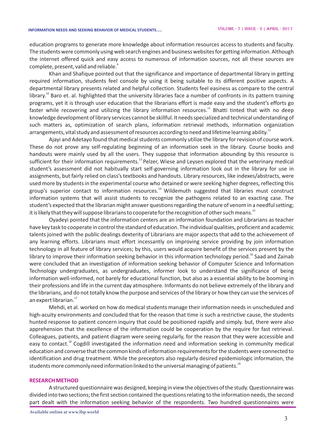education programs to generate more knowledge about information resources access to students and faculty. The students were commonly using web search engines and business websites for getting information. Although the internet offered quick and easy access to numerous of information sources, not all these sources are  $\mathop{\mathsf{complete}}\nolimits$  , present, valid and reliable. $\mathop{\mathsf{^3}}\nolimits$ 

Khan and Shafique pointed out that the significance and importance of departmental library in getting required information, students feel console by using it being suitable to its different positive aspects. A departmental library presents related and helpful collection. Students feel easiness as compare to the central  $10$  library.<sup>10</sup> Baro et. al. highlighted that the university libraries face a number of confronts in its pattern training programs, yet it is through user education that the librarians effort is made easy and the student's efforts go faster while recovering and utilizing the library information resources.<sup>11</sup> Bhatti tinted that with no deep knowledge development of library services cannot be skillful. It needs specialized and technicalunderstanding of such matters as, optimization of search plans, information retrieval methods, information organization arrangements, vital study and assessment of resources according to need and lifetime learning ability.<sup>12</sup>

Ajayi and Adetayo found that medical students commonly utilize the library for revision of course work. These do not prove any self-regulating beginning of an information seek in the library. Course books and handouts were mainly used by all the users. They suppose that information abounding by this resource is sufficient for their information requirements.<sup>13</sup> Pelzer, Wiese and Leysen explored that the veterinary medical student's assessment did not habitually start self-governing information look out in the library for use in assignments, but fairly relied on class's textbooks and handouts. Library resources, like indexes/abstracts, were used more by students in the experimental course who detained or were seeking higher degrees, reflecting this group's superior contact to information resources.<sup>14</sup> Wildemuth suggested that libraries must construct information systems that will assist students to recognize the pathogens related to an exacting case. The student's expected that the librarian might answer questions regarding the nature of venom in a needful setting; it is likely that they will suppose librarians to cooperate for the recognition of other such means.<sup>15</sup>

Oyadeyi pointed that the information centers are an information foundation and Librarians as teacher have key task to cooperate in control the standard of education. The individual qualities, proficient and academic talents joined with the public dealings dexterity of Librarians are major aspects that add to the achievement of any learning efforts. Librarians must effort incessantly on improving service providing by join information technology in all feature of library services; by this, users would acquire benefit of the services present by the library to improve their information seeking behavior in this information technology period.<sup>16</sup> Saad and Zainab were concluded that an investigation of information seeking behavior of Computer Science and Information Technology undergraduates, as undergraduates, informer look to understand the significance of being information well-informed, not barely for educational function, but also as a essential ability to be booming in their professions and life in the current day atmosphere. Informants do not believe extremely of the library and the librarians, and do not totally know the purpose and services of the library or how they can use the services of an expert librarian.<sup>17</sup>

Mehdi, et al. worked on how do medical students manage their information needs in unscheduled and high-acuity environments and concluded that for the reason that time is such a restrictive cause, the students hunted response to patient concern inquiry that could be positioned rapidly and simply. but, there were also apprehension that the excellence of the information could be cooperation by the require for fast retrieval. Colleagues, patients, and patient diagram were seeing regularly, for the reason that they were accessible and easy to contact.<sup>18</sup> Cogdill investigated the information need and information seeking in community medical education and converse that the common kinds of information requirements for the students were connected to identification and drug treatment. While the preceptors also regularly desired epidemiologic information, the students more commonly need information linked to the universal managing of patients. $^{1\mathrm s}$ 

#### **RESEARCH METHOD**

A structured questionnaire was designed, keeping in view the objectives of the study. Questionnaire was divided into two sections; the first section contained the questions relating to the information needs, the second part dealt with the information seeking behavior of the respondents. Two hundred questionnaires were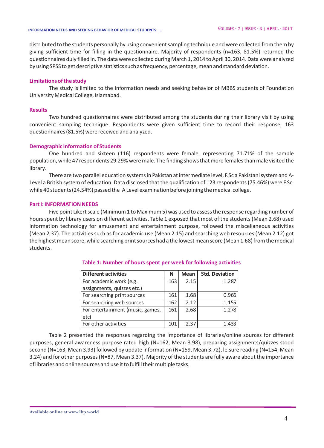#### **INFORMATION NEEDS AND SEEKING BEHAVIOR OF MEDICAL STUDENTS.....**

distributed to the students personally by using convenient sampling technique and were collected from them by giving sufficient time for filling in the questionnaire. Majority of respondents (n=163, 81.5%) returned the questionnaires duly filled in. The data were collected during March 1, 2014 to April 30, 2014. Data were analyzed by using SPSS to get descriptive statistics such as frequency, percentage, mean and standard deviation.

#### **Limitations of the study**

The study is limited to the Information needs and seeking behavior of MBBS students of Foundation University Medical College, Islamabad.

#### **Results**

Two hundred questionnaires were distributed among the students during their library visit by using convenient sampling technique. Respondents were given sufficient time to record their response, 163 questionnaires (81.5%) were received and analyzed.

#### **Demographic Information of Students**

One hundred and sixteen (116) respondents were female, representing 71.71% of the sample population, while 47 respondents 29.29% were male. The finding shows that more females than male visited the library.

There are two parallel education systems in Pakistan at intermediate level, F.Sc a Pakistani system and A-Level a British system of education. Data disclosed that the qualification of 123 respondents (75.46%) were F.Sc. while 40 students (24.54%) passed the A Level examination before joining the medical college.

#### **Part I: INFORMATION NEEDS**

Five point Likert scale (Minimum 1 to Maximum 5) was used to assess the response regarding number of hours spent by library users on different activities. Table 1 exposed that most of the students (Mean 2.68) used information technology for amusement and entertainment purpose, followed the miscellaneous activities (Mean 2.37). The activities such as for academic use (Mean 2.15) and searching web resources (Mean 2.12) got the highest mean score, while searching print sources had a the lowest mean score (Mean 1.68) from the medical students.

| <b>Different activities</b>      | N   | <b>Mean</b> | <b>Std. Deviation</b> |
|----------------------------------|-----|-------------|-----------------------|
| For academic work (e.g.          | 163 | 2.15        | 1.287                 |
| assignments, quizzes etc.)       |     |             |                       |
| For searching print sources      | 161 | 1.68        | 0.966                 |
| For searching web sources        | 162 | 2.12        | 1.155                 |
| For entertainment (music, games, | 161 | 2.68        | 1.278                 |
| etc)                             |     |             |                       |
| For other activities             | 101 | 2.37        |                       |

#### **Table 1: Number of hours spent per week for following activities**

Table 2 presented the responses regarding the importance of libraries/online sources for different purposes, general awareness purpose rated high (N=162, Mean 3.98), preparing assignments/quizzes stood second (N=163, Mean 3.93) followed by update information (N=159, Mean 3.72), leisure reading (N=154, Mean 3.24) and for other purposes (N=87, Mean 3.37). Majority of the students are fully aware about the importance of libraries and online sources and use it to fulfill their multiple tasks.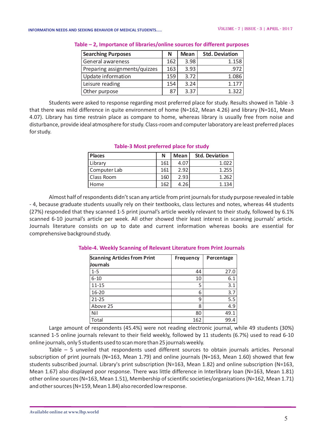| <b>Searching Purposes</b>     | N   | <b>Mean</b> | <b>Std. Deviation</b> |
|-------------------------------|-----|-------------|-----------------------|
| General awareness             | 162 | 3.98        | 1.158                 |
| Preparing assignments/quizzes | 163 | 3.93        | .972                  |
| Update information            | 159 | 3.72        | 1.086                 |
| Leisure reading               | 154 | 3.24        | 1.177                 |
| Other purpose                 | 87  | 3 37        | 1322                  |

**Table – 2, Importance of libraries/online sources for different purposes**

Students were asked to response regarding most preferred place for study. Results showed in Table -3 that there was mild difference in quite environment of home (N=162, Mean 4.26) and library (N=161, Mean 4.07). Library has time restrain place as compare to home, whereas library is usually free from noise and disturbance, provide ideal atmosphere for study. Class-room and computer laboratory are least preferred places for study.

| <b>Places</b> | N   | Mean | <b>Std. Deviation</b> |
|---------------|-----|------|-----------------------|
| Library       | 161 | 4.07 | 1.022                 |
| Computer Lab  | 161 | 2.92 | 1.255                 |
| Class Room    | 160 | 2.93 | 1.262                 |
| Home          | 162 | 4.26 | 1.134                 |

#### **Table-3 Most preferred place for study**

Almost half of respondents didn't scan any article from print journals for study purpose revealed in table - 4, because graduate students usually rely on their textbooks, class lectures and notes, whereas 44 students (27%) responded that they scanned 1-5 print journal's article weekly relevant to their study, followed by 6.1% scanned 6-10 journal's article per week. All other showed their least interest in scanning journals' article. Journals literature consists on up to date and current information whereas books are essential for comprehensive background study.

| <b>Scanning Articles from Print</b><br><b>Journals</b> | <b>Frequency</b> | Percentage |
|--------------------------------------------------------|------------------|------------|
| $1 - 5$                                                | 44               | 27.0       |
| $6 - 10$                                               | 10               | 6.1        |
| 11-15                                                  | 5                | 3.1        |
| 16-20                                                  | 6                | 3.7        |
| $21 - 25$                                              | 9                | 5.5        |
| Above 25                                               | 8                | 4.9        |
| Nil                                                    | 80               | 49.1       |
| Total                                                  | 162              | 99.4       |

#### **Table-4. Weekly Scanning of Relevant Literature from Print Journals**

Large amount of respondents (45.4%) were not reading electronic journal, while 49 students (30%) scanned 1-5 online journals relevant to their field weekly, followed by 11 students (6.7%) used to read 6-10 online journals, only 5 students used to scan more than 25 journals weekly.

Table – 5 unveiled that respondents used different sources to obtain journals articles. Personal subscription of print journals (N=163, Mean 1.79) and online journals (N=163, Mean 1.60) showed that few students subscribed journal. Library's print subscription (N=163, Mean 1.82) and online subscription (N=163, Mean 1.67) also displayed poor response. There was little difference in Interlibrary loan (N=163, Mean 1.81) other online sources (N=163, Mean 1.51), Membership of scientific societies/organizations (N=162, Mean 1.71) and other sources (N=159, Mean 1.84) also recorded low response.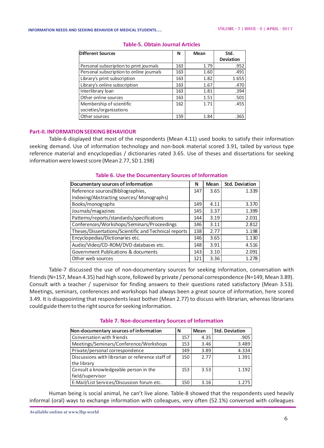| <b>Different Sources</b>                 |     | <b>Mean</b> | Std.             |
|------------------------------------------|-----|-------------|------------------|
|                                          |     |             | <b>Deviation</b> |
| Personal subscription to print journals  | 163 | 1.79        | .952             |
| Personal subscription to online journals | 163 | 1.60        | .491             |
| Library's print subscription             | 163 | 1.82        | 1.655            |
| Library's online subscription            | 163 | 1.67        | .470             |
| Interlibrary loan                        | 163 | 1.81        | .394             |
| Other online sources                     | 163 | 1.51        | .501             |
| Membership of scientific                 | 162 | 1.71        | .455             |
| societies/organizations                  |     |             |                  |
| Other sources                            | 159 | 1.84        | .365             |

#### **Table-5. Obtain Journal Articles**

#### **Part-II. INFORMATION SEEKING BEHAVIOUR**

Table-6 displayed that most of the respondents (Mean 4.11) used books to satisfy their information seeking demand. Use of information technology and non-book material scored 3.91, tailed by various type reference material and encyclopedias / dictionaries rated 3.65. Use of theses and dissertations for seeking information were lowest score (Mean 2.77, SD 1.198)

| Documentary sources of information                    | N   | <b>Mean</b> | <b>Std. Deviation</b> |
|-------------------------------------------------------|-----|-------------|-----------------------|
| Reference sources(Bibliographies,                     | 147 | 3.65        | 1.339                 |
| Indexing/Abstracting sources/ Monographs)             |     |             |                       |
| Books/monographs                                      | 149 | 4.11        | 3.370                 |
| Journals/magazines                                    | 145 | 3.37        | 1.399                 |
| Patterns/reports/standards/specifications             | 144 | 3.19        | 2.031                 |
| Conferences/Workshops/Seminars/Proceedings            | 146 | 3.11        | 2.812                 |
| Theses/Dissertations/Scientific and Technical reports | 138 | 2.77        | 1.198                 |
| Encyclopedias/Dictionaries etc.                       | 146 | 3.65        | 1.130                 |
| Audio/Video/CD-ROM/DVD databases etc.                 | 148 | 3.91        | 4.516                 |
| Government Publications & documents                   | 143 | 3.10        | 2.091                 |
| Other web sources                                     | 121 | 3.36        | 1.278                 |
|                                                       |     |             |                       |

#### **Table 6. Use the Documentary Sources of Information**

Table-7 discussed the use of non-documentary sources for seeking information, conversation with friends (N=157, Mean 4.35) had high score, followed by private / personal correspondence (N=149, Mean 3.89). Consult with a teacher / supervisor for finding answers to their questions rated satisfactory (Mean 3.53). Meetings, seminars, conferences and workshops had always been a great source of information, here scored 3.49. It is disappointing that respondents least bother (Mean 2.77) to discuss with librarian, whereas librarians could guide them to the right source for seeking information.

| Non-documentary sources of information           | N   | <b>Mean</b> | <b>Std. Deviation</b> |
|--------------------------------------------------|-----|-------------|-----------------------|
| Conversation with friends                        | 157 | 4.35        | .905                  |
| Meetings/Seminars/Conference/Workshops           | 153 | 3.46        | 3.489                 |
| Private/personal correspondence                  | 149 | 3.89        | 4.334                 |
| Discussions with librarian or reference staff of | 150 | 2.77        | 1.391                 |
| the library                                      |     |             |                       |
| Consult a knowledgeable person in the            | 153 | 3.53        | 1.192                 |
| field/supervisor                                 |     |             |                       |
| E-Mail/List Services/Discussion forum etc.       | 150 | 3.16        | 1.275                 |

#### **Table 7. Non-documentary Sources of Information**

Human being is social animal, he can't live alone. Table-8 showed that the respondents used heavily informal (oral) ways to exchange information with colleagues, very often (52.1%) conversed with colleagues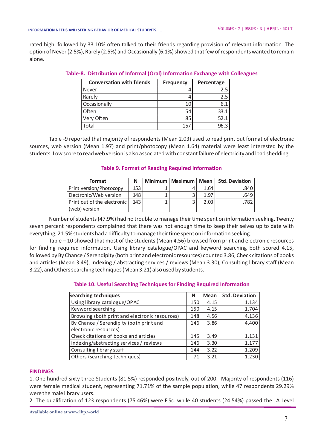rated high, followed by 33.10% often talked to their friends regarding provision of relevant information. The option of Never (2.5%), Rarely (2.5%) and Occasionally (6.1%) showed that few of respondents wanted to remain alone.

| <b>Conversation with friends</b> | <b>Frequency</b> | Percentage |
|----------------------------------|------------------|------------|
| Never                            |                  | 2.5        |
| Rarely                           |                  | 2.5        |
| Occasionally                     | 10               | 6.1        |
| Often                            | 54               | 33.1       |
| Very Often                       | 85               | 52.1       |
| Total                            | 157              | 96.3       |

|  |  |  |  |  | Table-8. Distribution of Informal (Oral) Information Exchange with Colleagues |  |
|--|--|--|--|--|-------------------------------------------------------------------------------|--|
|--|--|--|--|--|-------------------------------------------------------------------------------|--|

Table -9 reported that majority of respondents (Mean 2.03) used to read print out format of electronic sources, web version (Mean 1.97) and print/photocopy (Mean 1.64) material were least interested by the students. Low score to read web version is also associated with constant failure of electricity and load shedding.

#### **Table 9. Format of Reading Required Information**

| Format                      | N   |                         |      | Minimum   Maximum   Mean   Std. Deviation |
|-----------------------------|-----|-------------------------|------|-------------------------------------------|
| Print version/Photocopy     | 153 |                         | 1.64 | ا 840.                                    |
| Electronic/Web version      | 148 | $\mathbf{C}$            | 1.97 | .649                                      |
| Print out of the electronic | 143 | $\overline{\mathbf{a}}$ | 2.03 | .782                                      |
| (web) version               |     |                         |      |                                           |

Number of students (47.9%) had no trouble to manage their time spent on information seeking. Twenty seven percent respondents complained that there was not enough time to keep their selves up to date with everything, 21.5% students had a difficulty to manage their time spent on information seeking.

Table – 10 showed that most of the students (Mean 4.56) browsed from print and electronic resources for finding required information. Using library catalogue/OPAC and keyword searching both scored 4.15, followed by By Chance / Serendipity (both print and electronic resources) counted 3.86, Check citations of books and articles (Mean 3.49), Indexing / abstracting services / reviews (Mean 3.30), Consulting library staff (Mean 3.22), and Others searching techniques (Mean 3.21) also used by students.

#### **Table 10. Useful Searching Techniques for Finding Required Information**

| <b>Searching techniques</b>                    | N   | Mean | <b>Std. Deviation</b> |
|------------------------------------------------|-----|------|-----------------------|
| Using library catalogue/OPAC                   | 150 | 4.15 | 1.134                 |
| Keyword searching                              | 150 | 4.15 | 1.704                 |
| Browsing (both print and electronic resources) | 148 | 4.56 | 4.136                 |
| By Chance / Serendipity (both print and        | 146 | 3.86 | 4.400                 |
| electronic resources)                          |     |      |                       |
| Check citations of books and articles          | 145 | 3.49 | 1.131                 |
| Indexing/abstracting services / reviews        | 146 | 3.30 | 1.177                 |
| Consulting library staff                       | 144 | 3.22 | 1.209                 |
| Others (searching techniques)                  | 71  | 3.21 | 1.230                 |

#### **FINDINGS**

1. One hundred sixty three Students (81.5%) responded positively, out of 200. Majority of respondents (116) were female medical student, representing 71.71% of the sample population, while 47 respondents 29.29% were the male library users.

2. The qualification of 123 respondents (75.46%) were F.Sc. while 40 students (24.54%) passed the A Level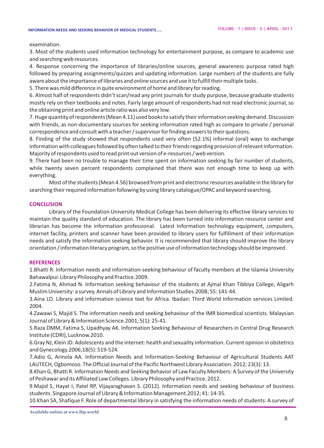#### **INFORMATION NEEDS AND SEEKING BEHAVIOR OF MEDICAL STUDENTS.....**

examination.

3. Most of the students used information technology for entertainment purpose, as compare to academic use and searching web resources.

4. Response concerning the importance of libraries/online sources, general awareness purpose rated high followed by preparing assignments/quizzes and updating information. Large numbers of the students are fully aware about the importance of libraries and online sources and use it to fulfill their multiple tasks.

5. There was mild difference in quite environment of home and library for reading.

6. Almost half of respondents didn't scan/read any print journals for study purpose, because graduate students mostly rely on their textbooks and notes. Fairly large amount of respondents had not read electronic journal, so the obtaining print and online article ratio was also very low.

7. Huge quantityof respondents (Mean 4.11) used books to satisfy their information seeking demand. Discussion with friends, as non-documentary sources for seeking information rated high as compare to private / personal correspondence and consult with a teacher / supervisor for finding answers to their questions.

8. Finding of the study showed that respondents used very often (52.1%) informal (oral) ways to exchange information with colleagues followed by often talked to their friends regarding provision of relevant information. Majority of respondents used to read print out version of e-resources / web version.

9. There had been no trouble to manage their time spent on information seeking by fair number of students, while twenty seven percent respondents complained that there was not enough time to keep up with everything.

Most of the students (Mean 4.56) browsed from print and electronic resources available in the library for searching their required information following by using library catalogue/OPAC and keyword searching.

#### **CONCLUSION**

Library of the Foundation University Medical College has been delivering its effective library services to maintain the quality standard of education. The library has been turned into information resource center and librarian has become the information professional. Latest Information technology equipment, computers, internet facility, printers and scanner have been provided to library users for fulfillment of their information needs and satisfy the information seeking behavior. It is recommended that library should improve the library orientation / information literacy program, so the positive use of information technology should be improved.

#### **REFERENCES**

1.Bhatti R. Information needs and information-seeking behaviour of faculty members at the Islamia University Bahawalpur. Library Philosophy and Practice.2009.

2.Fatima N, Ahmad N. Information seeking behaviour of the students at Ajmal Khan Tibbiya College, Aligarh Muslim University: a survey. Annals of Library and Information Studies.2008; 55: 141-44.

3.Aina LO. Library and information science text for Africa. Ibadan: Third World Information services Limited. 2004.

4.Zawawi S, Majid S. The information needs and seeking behaviour of the IMR biomedical scientists. Malaysian Journal of Library & Information Science.2001; 5(1): 25-41.

5.Raza DMM, Fatima S, Upadhyay AK. Information Seeking Behaviour of Researchers in Central Drug Research Institute (CDRI), Lucknow.2010.

6.Gray NJ, Klein JD. Adolescents and the internet: health and sexuality information. Current opinion in obstetrics and Gynecology.2006;18(5): 519-524.

7.Adio G, Arinola AA. Information Needs and Information-Seeking Behaviour of Agricultural Students AAT LAUTECH, Ogbomoso. The Official Journal of the Pacific Northwest Library Association. 2012; 23(3): 13.

8.Khan G, Bhatti R. Information Needs and Seeking Behavior of Law Faculty Members: A Survey of the University of Peshawar and its Affiliated Law Colleges. Library Philosophy and Practice. 2012.

9.Majid S, Hayat I, Patel RP, Vijayaraghavan S. (2012). Information needs and seeking behaviour of business students. Singapore Journal of Library & Information Management.2012; 41: 14-35.

10.Khan SA, Shafique F. Role of departmental library in satisfying the information needs of students: A survey of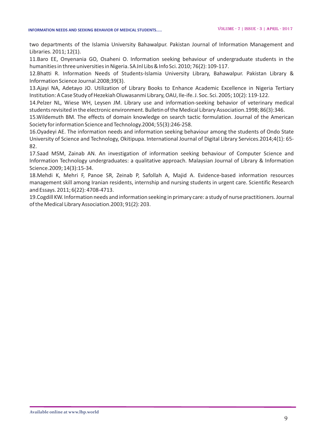two departments of the Islamia University Bahawalpur. Pakistan Journal of Information Management and Libraries. 2011; 12(1).

11.Baro EE, Onyenania GO, Osaheni O. Information seeking behaviour of undergraduate students in the humanities in three universities in Nigeria. SA Jnl Libs & Info Sci. 2010; 76(2): 109-117.

12.Bhatti R. Information Needs of Students-Islamia University Library, Bahawalpur. Pakistan Library & Information Science Journal.2008;39(3).

13.Ajayi NA, Adetayo JO. Utilization of Library Books to Enhance Academic Excellence in Nigeria Tertiary Institution: A Case Study of Hezekiah Oluwasanmi Library, OAU, Ile-ife. J. Soc. Sci. 2005; 10(2): 119-122.

14.Pelzer NL, Wiese WH, Leysen JM. Library use and information-seeking behavior of veterinary medical students revisited in the electronic environment.Bulletin of the Medical Library Association.1998; 86(3):346.

15.Wildemuth BM. The effects of domain knowledge on search tactic formulation. Journal of the American Society for information Science and Technology.2004; 55(3):246-258.

16.Oyadeyi AE. The information needs and information seeking behaviour among the students of Ondo State University of Science and Technology, Okitipupa. International Journal of Digital Library Services.2014;4(1): 65- 82.

17.Saad MSM, Zainab AN. An investigation of information seeking behaviour of Computer Science and Information Technology undergraduates: a qualitative approach. Malaysian Journal of Library & Information Science.2009; 14(3):15-34.

18.Mehdi K, Mehri F, Panoe SR, Zeinab P, Safollah A, Majid A. Evidence-based information resources management skill among Iranian residents, internship and nursing students in urgent care. Scientific Research and Essays. 2011; 6(22): 4708-4713.

19.Cogdill KW. Information needs and information seeking in primary care: a study of nurse practitioners. Journal of the Medical Library Association.2003; 91(2): 203.